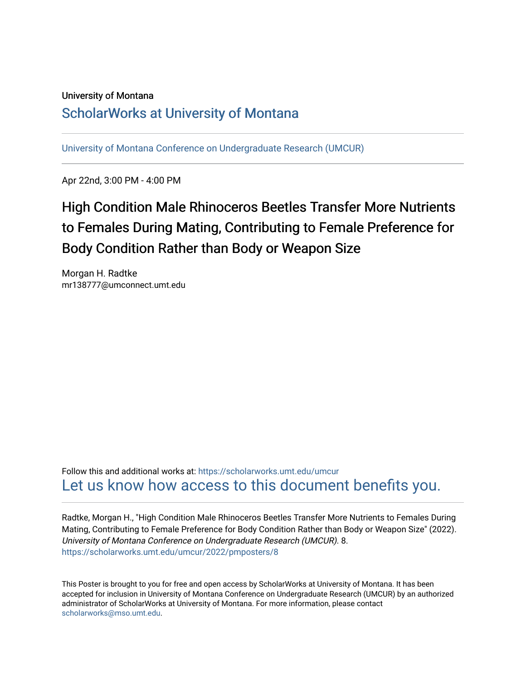### University of Montana

## [ScholarWorks at University of Montana](https://scholarworks.umt.edu/)

[University of Montana Conference on Undergraduate Research \(UMCUR\)](https://scholarworks.umt.edu/umcur)

Apr 22nd, 3:00 PM - 4:00 PM

# High Condition Male Rhinoceros Beetles Transfer More Nutrients to Females During Mating, Contributing to Female Preference for Body Condition Rather than Body or Weapon Size

Morgan H. Radtke mr138777@umconnect.umt.edu

Follow this and additional works at: [https://scholarworks.umt.edu/umcur](https://scholarworks.umt.edu/umcur?utm_source=scholarworks.umt.edu%2Fumcur%2F2022%2Fpmposters%2F8&utm_medium=PDF&utm_campaign=PDFCoverPages)  [Let us know how access to this document benefits you.](https://goo.gl/forms/s2rGfXOLzz71qgsB2) 

Radtke, Morgan H., "High Condition Male Rhinoceros Beetles Transfer More Nutrients to Females During Mating, Contributing to Female Preference for Body Condition Rather than Body or Weapon Size" (2022). University of Montana Conference on Undergraduate Research (UMCUR). 8. [https://scholarworks.umt.edu/umcur/2022/pmposters/8](https://scholarworks.umt.edu/umcur/2022/pmposters/8?utm_source=scholarworks.umt.edu%2Fumcur%2F2022%2Fpmposters%2F8&utm_medium=PDF&utm_campaign=PDFCoverPages)

This Poster is brought to you for free and open access by ScholarWorks at University of Montana. It has been accepted for inclusion in University of Montana Conference on Undergraduate Research (UMCUR) by an authorized administrator of ScholarWorks at University of Montana. For more information, please contact [scholarworks@mso.umt.edu.](mailto:scholarworks@mso.umt.edu)